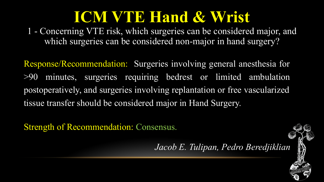1 - Concerning VTE risk, which surgeries can be considered major, and which surgeries can be considered non-major in hand surgery?

Response/Recommendation: Surgeries involving general anesthesia for >90 minutes, surgeries requiring bedrest or limited ambulation postoperatively, and surgeries involving replantation or free vascularized tissue transfer should be considered major in Hand Surgery.

Strength of Recommendation: Consensus.

*Jacob E. Tulipan, Pedro Beredjiklian*

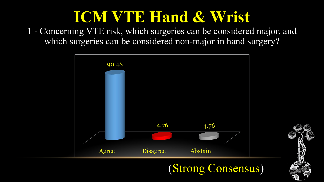1 - Concerning VTE risk, which surgeries can be considered major, and which surgeries can be considered non-major in hand surgery?



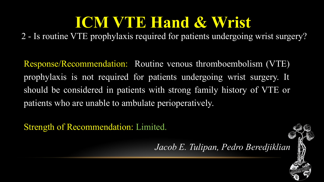2 - Is routine VTE prophylaxis required for patients undergoing wrist surgery?

Response/Recommendation: Routine venous thromboembolism (VTE) prophylaxis is not required for patients undergoing wrist surgery. It should be considered in patients with strong family history of VTE or patients who are unable to ambulate perioperatively.

Strength of Recommendation: Limited.

*Jacob E. Tulipan, Pedro Beredjiklian*

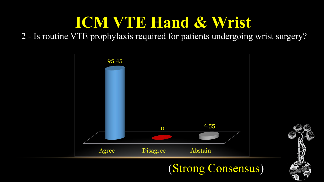#### 2 - Is routine VTE prophylaxis required for patients undergoing wrist surgery?





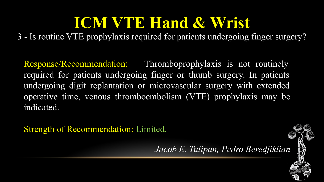3 - Is routine VTE prophylaxis required for patients undergoing finger surgery?

Response/Recommendation: Thromboprophylaxis is not routinely required for patients undergoing finger or thumb surgery. In patients undergoing digit replantation or microvascular surgery with extended operative time, venous thromboembolism (VTE) prophylaxis may be indicated.

Strength of Recommendation: Limited.

*Jacob E. Tulipan, Pedro Beredjiklian*

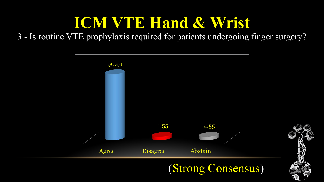#### 3 - Is routine VTE prophylaxis required for patients undergoing finger surgery?





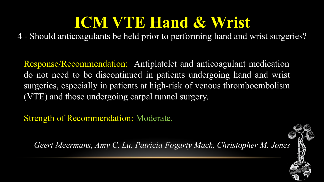4 - Should anticoagulants be held prior to performing hand and wrist surgeries?

Response/Recommendation: Antiplatelet and anticoagulant medication do not need to be discontinued in patients undergoing hand and wrist surgeries, especially in patients at high-risk of venous thromboembolism (VTE) and those undergoing carpal tunnel surgery.

Strength of Recommendation: Moderate.

*Geert Meermans, Amy C. Lu, Patricia Fogarty Mack, Christopher M. Jones*